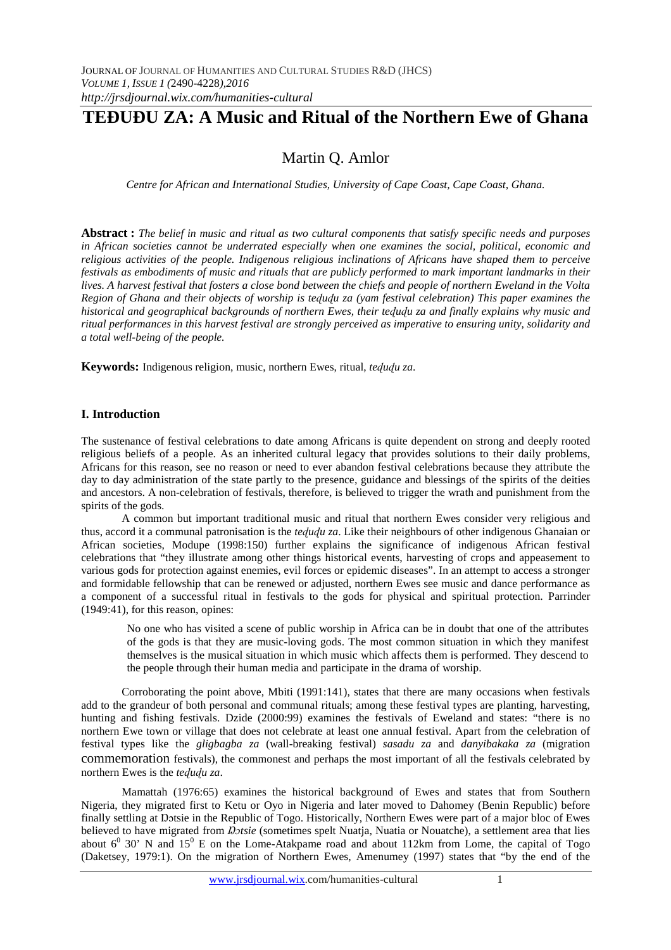# **TEÐUÐU ZA: A Music and Ritual of the Northern Ewe of Ghana**

## Martin Q. Amlor

*Centre for African and International Studies, University of Cape Coast, Cape Coast, Ghana.* 

**Abstract :** *The belief in music and ritual as two cultural components that satisfy specific needs and purposes in African societies cannot be underrated especially when one examines the social, political, economic and religious activities of the people. Indigenous religious inclinations of Africans have shaped them to perceive festivals as embodiments of music and rituals that are publicly performed to mark important landmarks in their lives. A harvest festival that fosters a close bond between the chiefs and people of northern Eweland in the Volta Region of Ghana and their objects of worship is teɖuɖu za (yam festival celebration) This paper examines the historical and geographical backgrounds of northern Ewes, their teɖuɖu za and finally explains why music and ritual performances in this harvest festival are strongly perceived as imperative to ensuring unity, solidarity and a total well-being of the people.* 

**Keywords:** Indigenous religion, music, northern Ewes, ritual, *teɖuɖu za*.

## **I. Introduction**

The sustenance of festival celebrations to date among Africans is quite dependent on strong and deeply rooted religious beliefs of a people. As an inherited cultural legacy that provides solutions to their daily problems, Africans for this reason, see no reason or need to ever abandon festival celebrations because they attribute the day to day administration of the state partly to the presence, guidance and blessings of the spirits of the deities and ancestors. A non-celebration of festivals, therefore, is believed to trigger the wrath and punishment from the spirits of the gods.

A common but important traditional music and ritual that northern Ewes consider very religious and thus, accord it a communal patronisation is the *teɖuɖu za*. Like their neighbours of other indigenous Ghanaian or African societies, Modupe (1998:150) further explains the significance of indigenous African festival celebrations that "they illustrate among other things historical events, harvesting of crops and appeasement to various gods for protection against enemies, evil forces or epidemic diseases". In an attempt to access a stronger and formidable fellowship that can be renewed or adjusted, northern Ewes see music and dance performance as a component of a successful ritual in festivals to the gods for physical and spiritual protection. Parrinder (1949:41), for this reason, opines:

No one who has visited a scene of public worship in Africa can be in doubt that one of the attributes of the gods is that they are music-loving gods. The most common situation in which they manifest themselves is the musical situation in which music which affects them is performed. They descend to the people through their human media and participate in the drama of worship.

Corroborating the point above, Mbiti (1991:141), states that there are many occasions when festivals add to the grandeur of both personal and communal rituals; among these festival types are planting, harvesting, hunting and fishing festivals. Dzide (2000:99) examines the festivals of Eweland and states: "there is no northern Ewe town or village that does not celebrate at least one annual festival. Apart from the celebration of festival types like the *gligbagba za* (wall-breaking festival) *sasadu za* and *danyibakaka za* (migration commemoration festivals), the commonest and perhaps the most important of all the festivals celebrated by northern Ewes is the *tedudu* za.

Mamattah (1976:65) examines the historical background of Ewes and states that from Southern Nigeria, they migrated first to Ketu or Oyo in Nigeria and later moved to Dahomey (Benin Republic) before finally settling at Dotsie in the Republic of Togo. Historically, Northern Ewes were part of a major bloc of Ewes believed to have migrated from *Dotsie* (sometimes spelt Nuatja, Nuatia or Nouatche), a settlement area that lies about  $6^0$  30' N and  $15^0$  E on the Lome-Atakpame road and about 112km from Lome, the capital of Togo (Daketsey, 1979:1). On the migration of Northern Ewes, Amenumey (1997) states that "by the end of the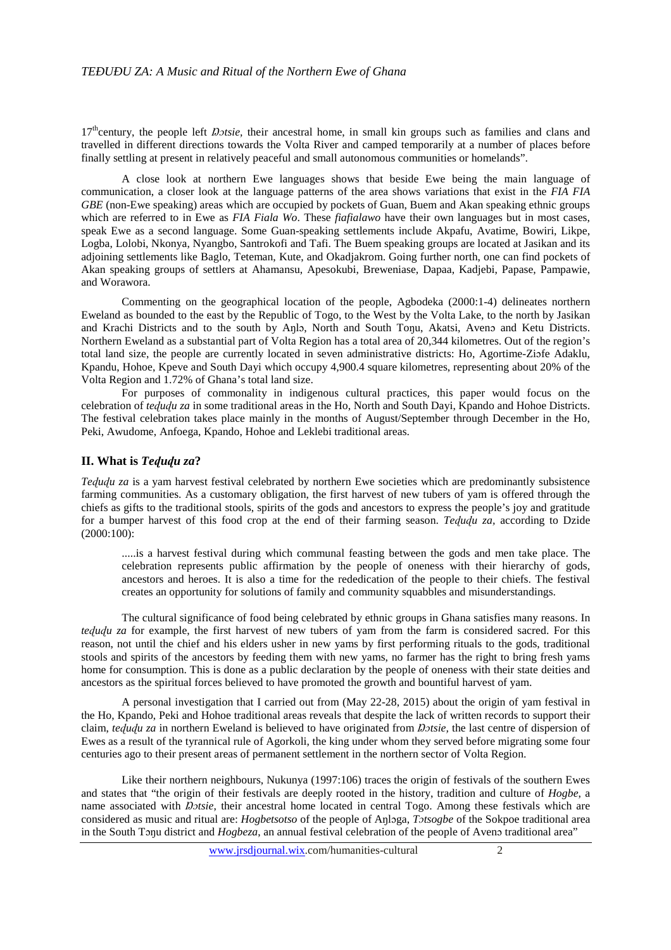17<sup>th</sup>century, the people left *Dotsie*, their ancestral home, in small kin groups such as families and clans and travelled in different directions towards the Volta River and camped temporarily at a number of places before finally settling at present in relatively peaceful and small autonomous communities or homelands".

A close look at northern Ewe languages shows that beside Ewe being the main language of communication, a closer look at the language patterns of the area shows variations that exist in the *FIA FIA GBE* (non-Ewe speaking) areas which are occupied by pockets of Guan, Buem and Akan speaking ethnic groups which are referred to in Ewe as *FIA Fiala Wo*. These *fiafialawo* have their own languages but in most cases, speak Ewe as a second language. Some Guan-speaking settlements include Akpafu, Avatime, Bowiri, Likpe, Logba, Lolobi, Nkonya, Nyangbo, Santrokofi and Tafi. The Buem speaking groups are located at Jasikan and its adjoining settlements like Baglo, Teteman, Kute, and Okadjakrom. Going further north, one can find pockets of Akan speaking groups of settlers at Ahamansu, Apesokubi, Breweniase, Dapaa, Kadjebi, Papase, Pampawie, and Worawora.

Commenting on the geographical location of the people, Agbodeka (2000:1-4) delineates northern Eweland as bounded to the east by the Republic of Togo, to the West by the Volta Lake, to the north by Jasikan and Krachi Districts and to the south by Anlo, North and South Tonu, Akatsi, Aveno and Ketu Districts. Northern Eweland as a substantial part of Volta Region has a total area of 20,344 kilometres. Out of the region's total land size, the people are currently located in seven administrative districts: Ho, Agortime-Ziɔfe Adaklu, Kpandu, Hohoe, Kpeve and South Dayi which occupy 4,900.4 square kilometres, representing about 20% of the Volta Region and 1.72% of Ghana's total land size.

For purposes of commonality in indigenous cultural practices, this paper would focus on the celebration of *teɖuɖu za* in some traditional areas in the Ho, North and South Dayi, Kpando and Hohoe Districts. The festival celebration takes place mainly in the months of August/September through December in the Ho, Peki, Awudome, Anfoega, Kpando, Hohoe and Leklebi traditional areas.

#### **II. What is** *Teɖuɖu za***?**

*Tedudu za* is a yam harvest festival celebrated by northern Ewe societies which are predominantly subsistence farming communities. As a customary obligation, the first harvest of new tubers of yam is offered through the chiefs as gifts to the traditional stools, spirits of the gods and ancestors to express the people's joy and gratitude for a bumper harvest of this food crop at the end of their farming season. *Teɖuɖu za,* according to Dzide (2000:100):

.....is a harvest festival during which communal feasting between the gods and men take place. The celebration represents public affirmation by the people of oneness with their hierarchy of gods, ancestors and heroes. It is also a time for the rededication of the people to their chiefs. The festival creates an opportunity for solutions of family and community squabbles and misunderstandings.

The cultural significance of food being celebrated by ethnic groups in Ghana satisfies many reasons. In *teɖuɖu za* for example, the first harvest of new tubers of yam from the farm is considered sacred. For this reason, not until the chief and his elders usher in new yams by first performing rituals to the gods, traditional stools and spirits of the ancestors by feeding them with new yams, no farmer has the right to bring fresh yams home for consumption. This is done as a public declaration by the people of oneness with their state deities and ancestors as the spiritual forces believed to have promoted the growth and bountiful harvest of yam.

A personal investigation that I carried out from (May 22-28, 2015) about the origin of yam festival in the Ho, Kpando, Peki and Hohoe traditional areas reveals that despite the lack of written records to support their claim, *teɖuɖu za* in northern Eweland is believed to have originated from *Ŋɔtsie,* the last centre of dispersion of Ewes as a result of the tyrannical rule of Agorkoli, the king under whom they served before migrating some four centuries ago to their present areas of permanent settlement in the northern sector of Volta Region.

Like their northern neighbours, Nukunya (1997:106) traces the origin of festivals of the southern Ewes and states that "the origin of their festivals are deeply rooted in the history, tradition and culture of *Hogbe*, a name associated with *Dotsie*, their ancestral home located in central Togo. Among these festivals which are considered as music and ritual are: *Hogbetsotso* of the people of Aŋlɔga, *Tɔtsogbe* of the Sokpoe traditional area in the South Tonu district and *Hogbeza*, an annual festival celebration of the people of Aveno traditional area"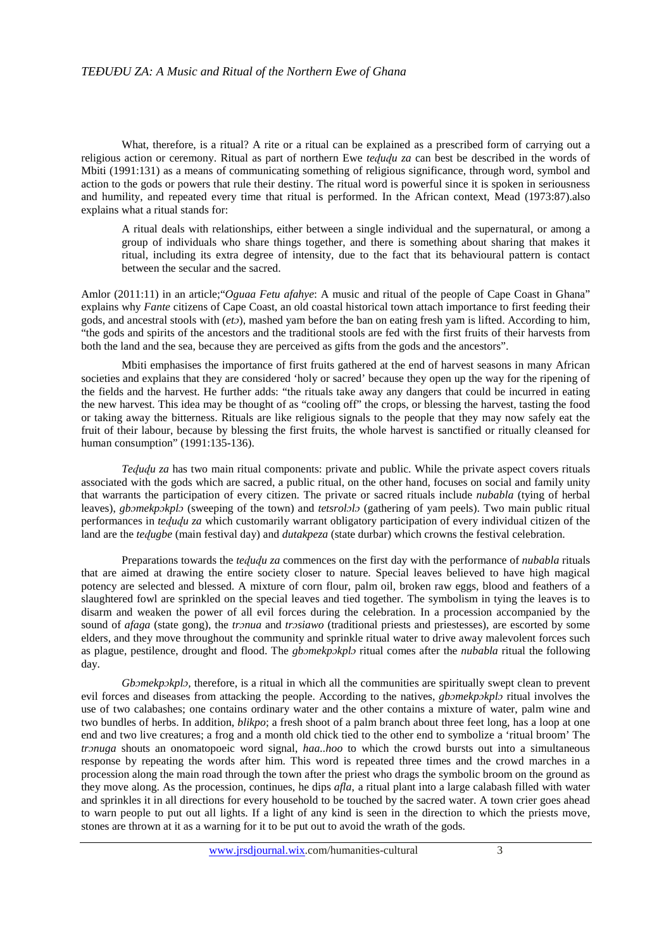What, therefore, is a ritual? A rite or a ritual can be explained as a prescribed form of carrying out a religious action or ceremony. Ritual as part of northern Ewe *teɖuɖu za* can best be described in the words of Mbiti (1991:131) as a means of communicating something of religious significance, through word, symbol and action to the gods or powers that rule their destiny. The ritual word is powerful since it is spoken in seriousness and humility, and repeated every time that ritual is performed. In the African context, Mead (1973:87).also explains what a ritual stands for:

A ritual deals with relationships, either between a single individual and the supernatural, or among a group of individuals who share things together, and there is something about sharing that makes it ritual, including its extra degree of intensity, due to the fact that its behavioural pattern is contact between the secular and the sacred.

Amlor (2011:11) in an article;"*Oguaa Fetu afahye*: A music and ritual of the people of Cape Coast in Ghana" explains why *Fante* citizens of Cape Coast, an old coastal historical town attach importance to first feeding their gods, and ancestral stools with (*etɔ*), mashed yam before the ban on eating fresh yam is lifted. According to him, "the gods and spirits of the ancestors and the traditional stools are fed with the first fruits of their harvests from both the land and the sea, because they are perceived as gifts from the gods and the ancestors".

Mbiti emphasises the importance of first fruits gathered at the end of harvest seasons in many African societies and explains that they are considered 'holy or sacred' because they open up the way for the ripening of the fields and the harvest. He further adds: "the rituals take away any dangers that could be incurred in eating the new harvest. This idea may be thought of as "cooling off" the crops, or blessing the harvest, tasting the food or taking away the bitterness. Rituals are like religious signals to the people that they may now safely eat the fruit of their labour, because by blessing the first fruits, the whole harvest is sanctified or ritually cleansed for human consumption" (1991:135-136).

*Teɖuɖu za* has two main ritual components: private and public. While the private aspect covers rituals associated with the gods which are sacred, a public ritual, on the other hand, focuses on social and family unity that warrants the participation of every citizen. The private or sacred rituals include *nubabla* (tying of herbal leaves), *gbɔmekpɔkplɔ* (sweeping of the town) and *tetsrolɔlɔ* (gathering of yam peels). Two main public ritual performances in *teɖuɖu za* which customarily warrant obligatory participation of every individual citizen of the land are the *teɖugbe* (main festival day) and *dutakpeza* (state durbar) which crowns the festival celebration.

Preparations towards the *teɖuɖu za* commences on the first day with the performance of *nubabla* rituals that are aimed at drawing the entire society closer to nature. Special leaves believed to have high magical potency are selected and blessed. A mixture of corn flour, palm oil, broken raw eggs, blood and feathers of a slaughtered fowl are sprinkled on the special leaves and tied together. The symbolism in tying the leaves is to disarm and weaken the power of all evil forces during the celebration. In a procession accompanied by the sound of *afaga* (state gong), the *trɔnua* and *trɔsiawo* (traditional priests and priestesses), are escorted by some elders, and they move throughout the community and sprinkle ritual water to drive away malevolent forces such as plague, pestilence, drought and flood. The *gbɔmekpɔkplɔ* ritual comes after the *nubabla* ritual the following day.

*Gbɔmekpɔkplɔ,* therefore, is a ritual in which all the communities are spiritually swept clean to prevent evil forces and diseases from attacking the people. According to the natives, *gbɔmekpɔkplɔ* ritual involves the use of two calabashes; one contains ordinary water and the other contains a mixture of water, palm wine and two bundles of herbs. In addition, *blikpo*; a fresh shoot of a palm branch about three feet long, has a loop at one end and two live creatures; a frog and a month old chick tied to the other end to symbolize a 'ritual broom' The *trɔnuga* shouts an onomatopoeic word signal, *haa..hoo* to which the crowd bursts out into a simultaneous response by repeating the words after him. This word is repeated three times and the crowd marches in a procession along the main road through the town after the priest who drags the symbolic broom on the ground as they move along. As the procession, continues, he dips *afla*, a ritual plant into a large calabash filled with water and sprinkles it in all directions for every household to be touched by the sacred water. A town crier goes ahead to warn people to put out all lights. If a light of any kind is seen in the direction to which the priests move, stones are thrown at it as a warning for it to be put out to avoid the wrath of the gods.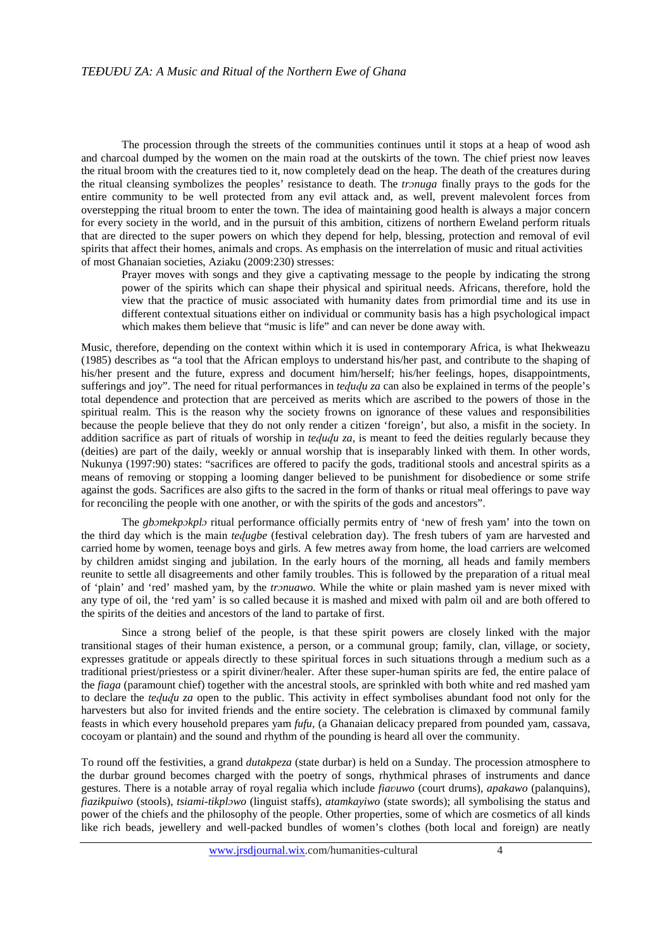The procession through the streets of the communities continues until it stops at a heap of wood ash and charcoal dumped by the women on the main road at the outskirts of the town. The chief priest now leaves the ritual broom with the creatures tied to it, now completely dead on the heap. The death of the creatures during the ritual cleansing symbolizes the peoples' resistance to death. The *trɔnuga* finally prays to the gods for the entire community to be well protected from any evil attack and, as well, prevent malevolent forces from overstepping the ritual broom to enter the town. The idea of maintaining good health is always a major concern for every society in the world, and in the pursuit of this ambition, citizens of northern Eweland perform rituals that are directed to the super powers on which they depend for help, blessing, protection and removal of evil spirits that affect their homes, animals and crops. As emphasis on the interrelation of music and ritual activities of most Ghanaian societies, Aziaku (2009:230) stresses:

Prayer moves with songs and they give a captivating message to the people by indicating the strong power of the spirits which can shape their physical and spiritual needs. Africans, therefore, hold the view that the practice of music associated with humanity dates from primordial time and its use in different contextual situations either on individual or community basis has a high psychological impact which makes them believe that "music is life" and can never be done away with.

Music, therefore, depending on the context within which it is used in contemporary Africa, is what Ihekweazu (1985) describes as "a tool that the African employs to understand his/her past, and contribute to the shaping of his/her present and the future, express and document him/herself; his/her feelings, hopes, disappointments, sufferings and joy". The need for ritual performances in *tedudu za* can also be explained in terms of the people's total dependence and protection that are perceived as merits which are ascribed to the powers of those in the spiritual realm. This is the reason why the society frowns on ignorance of these values and responsibilities because the people believe that they do not only render a citizen 'foreign', but also, a misfit in the society. In addition sacrifice as part of rituals of worship in *teququ za*, is meant to feed the deities regularly because they (deities) are part of the daily, weekly or annual worship that is inseparably linked with them. In other words, Nukunya (1997:90) states: "sacrifices are offered to pacify the gods, traditional stools and ancestral spirits as a means of removing or stopping a looming danger believed to be punishment for disobedience or some strife against the gods. Sacrifices are also gifts to the sacred in the form of thanks or ritual meal offerings to pave way for reconciling the people with one another, or with the spirits of the gods and ancestors".

The *gbɔmekpɔkplɔ* ritual performance officially permits entry of 'new of fresh yam' into the town on the third day which is the main *teɖugbe* (festival celebration day). The fresh tubers of yam are harvested and carried home by women, teenage boys and girls. A few metres away from home, the load carriers are welcomed by children amidst singing and jubilation. In the early hours of the morning, all heads and family members reunite to settle all disagreements and other family troubles. This is followed by the preparation of a ritual meal of 'plain' and 'red' mashed yam, by the *trɔnuawo.* While the white or plain mashed yam is never mixed with any type of oil, the 'red yam' is so called because it is mashed and mixed with palm oil and are both offered to the spirits of the deities and ancestors of the land to partake of first.

Since a strong belief of the people, is that these spirit powers are closely linked with the major transitional stages of their human existence, a person, or a communal group; family, clan, village, or society, expresses gratitude or appeals directly to these spiritual forces in such situations through a medium such as a traditional priest/priestess or a spirit diviner/healer. After these super-human spirits are fed, the entire palace of the *fiaga* (paramount chief) together with the ancestral stools, are sprinkled with both white and red mashed yam to declare the *teququ za* open to the public. This activity in effect symbolises abundant food not only for the harvesters but also for invited friends and the entire society. The celebration is climaxed by communal family feasts in which every household prepares yam *fufu,* (a Ghanaian delicacy prepared from pounded yam, cassava, cocoyam or plantain) and the sound and rhythm of the pounding is heard all over the community.

To round off the festivities, a grand *dutakpeza* (state durbar) is held on a Sunday. The procession atmosphere to the durbar ground becomes charged with the poetry of songs, rhythmical phrases of instruments and dance gestures. There is a notable array of royal regalia which include *fiaʋuwo* (court drums), *apakawo* (palanquins), *fiazikpuiwo* (stools), *tsiami-tikplɔwo* (linguist staffs), *atamkayiwo* (state swords); all symbolising the status and power of the chiefs and the philosophy of the people. Other properties, some of which are cosmetics of all kinds like rich beads, jewellery and well-packed bundles of women's clothes (both local and foreign) are neatly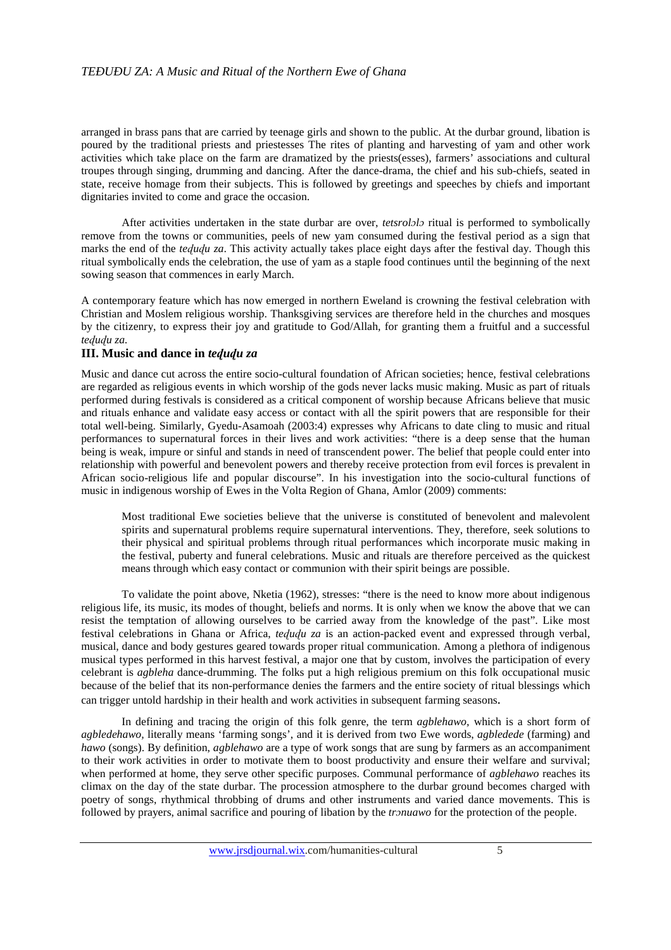arranged in brass pans that are carried by teenage girls and shown to the public. At the durbar ground, libation is poured by the traditional priests and priestesses The rites of planting and harvesting of yam and other work activities which take place on the farm are dramatized by the priests(esses), farmers' associations and cultural troupes through singing, drumming and dancing. After the dance-drama, the chief and his sub-chiefs, seated in state, receive homage from their subjects. This is followed by greetings and speeches by chiefs and important dignitaries invited to come and grace the occasion.

After activities undertaken in the state durbar are over, *tetsrolɔlɔ* ritual is performed to symbolically remove from the towns or communities, peels of new yam consumed during the festival period as a sign that marks the end of the *tedudu za*. This activity actually takes place eight days after the festival day. Though this ritual symbolically ends the celebration, the use of yam as a staple food continues until the beginning of the next sowing season that commences in early March.

A contemporary feature which has now emerged in northern Eweland is crowning the festival celebration with Christian and Moslem religious worship. Thanksgiving services are therefore held in the churches and mosques by the citizenry, to express their joy and gratitude to God/Allah, for granting them a fruitful and a successful *teɖuɖu za.* 

#### **III. Music and dance in** *teɖuɖu za*

Music and dance cut across the entire socio-cultural foundation of African societies; hence, festival celebrations are regarded as religious events in which worship of the gods never lacks music making. Music as part of rituals performed during festivals is considered as a critical component of worship because Africans believe that music and rituals enhance and validate easy access or contact with all the spirit powers that are responsible for their total well-being. Similarly, Gyedu-Asamoah (2003:4) expresses why Africans to date cling to music and ritual performances to supernatural forces in their lives and work activities: "there is a deep sense that the human being is weak, impure or sinful and stands in need of transcendent power. The belief that people could enter into relationship with powerful and benevolent powers and thereby receive protection from evil forces is prevalent in African socio-religious life and popular discourse". In his investigation into the socio-cultural functions of music in indigenous worship of Ewes in the Volta Region of Ghana, Amlor (2009) comments:

Most traditional Ewe societies believe that the universe is constituted of benevolent and malevolent spirits and supernatural problems require supernatural interventions. They, therefore, seek solutions to their physical and spiritual problems through ritual performances which incorporate music making in the festival, puberty and funeral celebrations. Music and rituals are therefore perceived as the quickest means through which easy contact or communion with their spirit beings are possible.

To validate the point above, Nketia (1962), stresses: "there is the need to know more about indigenous religious life, its music, its modes of thought, beliefs and norms. It is only when we know the above that we can resist the temptation of allowing ourselves to be carried away from the knowledge of the past". Like most festival celebrations in Ghana or Africa, *teɖuɖu za* is an action-packed event and expressed through verbal, musical, dance and body gestures geared towards proper ritual communication. Among a plethora of indigenous musical types performed in this harvest festival, a major one that by custom, involves the participation of every celebrant is *agbleha* dance-drumming. The folks put a high religious premium on this folk occupational music because of the belief that its non-performance denies the farmers and the entire society of ritual blessings which can trigger untold hardship in their health and work activities in subsequent farming seasons.

In defining and tracing the origin of this folk genre, the term *agblehawo,* which is a short form of *agbledehawo,* literally means 'farming songs', and it is derived from two Ewe words, *agbledede* (farming) and *hawo* (songs). By definition, *agblehawo* are a type of work songs that are sung by farmers as an accompaniment to their work activities in order to motivate them to boost productivity and ensure their welfare and survival; when performed at home, they serve other specific purposes. Communal performance of *agblehawo* reaches its climax on the day of the state durbar. The procession atmosphere to the durbar ground becomes charged with poetry of songs, rhythmical throbbing of drums and other instruments and varied dance movements. This is followed by prayers, animal sacrifice and pouring of libation by the *trɔnuawo* for the protection of the people.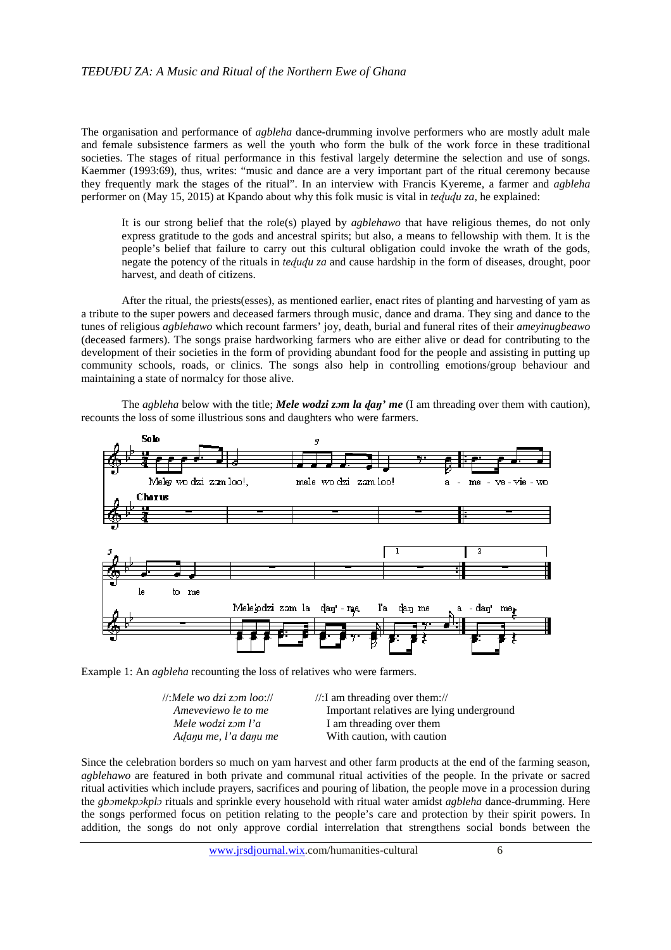The organisation and performance of *agbleha* dance-drumming involve performers who are mostly adult male and female subsistence farmers as well the youth who form the bulk of the work force in these traditional societies. The stages of ritual performance in this festival largely determine the selection and use of songs. Kaemmer (1993:69), thus, writes: "music and dance are a very important part of the ritual ceremony because they frequently mark the stages of the ritual". In an interview with Francis Kyereme, a farmer and *agbleha* performer on (May 15, 2015) at Kpando about why this folk music is vital in *teɖuɖu za,* he explained:

It is our strong belief that the role(s) played by *agblehawo* that have religious themes, do not only express gratitude to the gods and ancestral spirits; but also, a means to fellowship with them. It is the people's belief that failure to carry out this cultural obligation could invoke the wrath of the gods, negate the potency of the rituals in *tedudu za* and cause hardship in the form of diseases, drought, poor harvest, and death of citizens.

After the ritual, the priests(esses), as mentioned earlier, enact rites of planting and harvesting of yam as a tribute to the super powers and deceased farmers through music, dance and drama. They sing and dance to the tunes of religious *agblehawo* which recount farmers' joy, death, burial and funeral rites of their *ameyinugbeawo*  (deceased farmers). The songs praise hardworking farmers who are either alive or dead for contributing to the development of their societies in the form of providing abundant food for the people and assisting in putting up community schools, roads, or clinics. The songs also help in controlling emotions/group behaviour and maintaining a state of normalcy for those alive.

The *agbleha* below with the title; *Mele wodzi zɔm la ɖaŋ' me* (I am threading over them with caution), recounts the loss of some illustrious sons and daughters who were farmers.



Example 1: An *agbleha* recounting the loss of relatives who were farmers.

| $\mathcal{U}$ :Mele wo dzi zom loo:// | $\frac{1}{2}$ am threading over them://   |
|---------------------------------------|-------------------------------------------|
| Ameveviewo le to me                   | Important relatives are lying underground |
| Mele wodzi zom l'a                    | I am threading over them                  |
| Adanu me, l'a danu me                 | With caution, with caution                |

Since the celebration borders so much on yam harvest and other farm products at the end of the farming season, *agblehawo* are featured in both private and communal ritual activities of the people. In the private or sacred ritual activities which include prayers, sacrifices and pouring of libation, the people move in a procession during the *gbɔmekpɔkplɔ* rituals and sprinkle every household with ritual water amidst *agbleha* dance-drumming. Here the songs performed focus on petition relating to the people's care and protection by their spirit powers. In addition, the songs do not only approve cordial interrelation that strengthens social bonds between the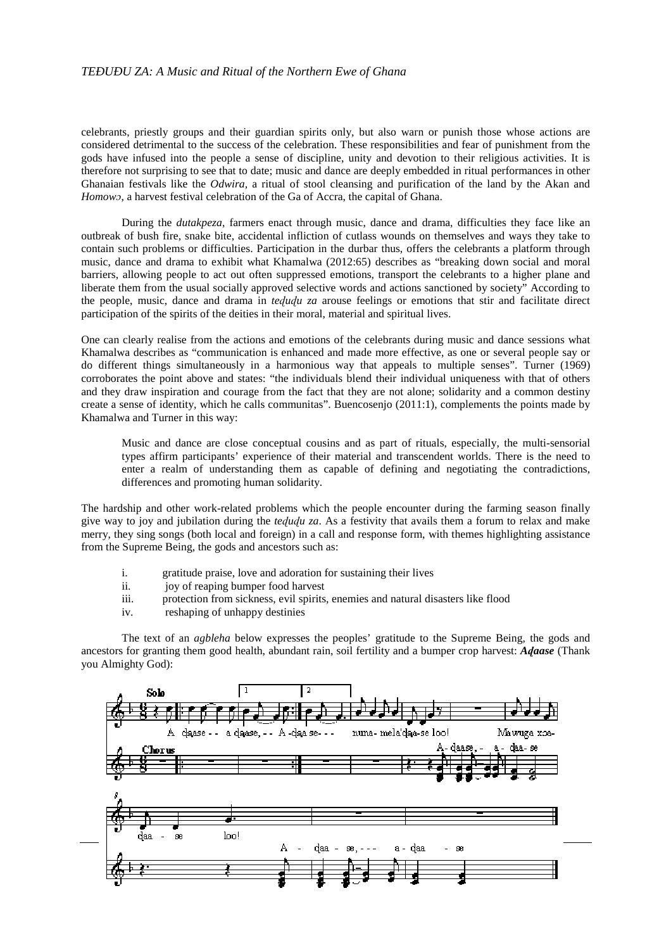#### *TEÐUÐU ZA: A Music and Ritual of the Northern Ewe of Ghana*

celebrants, priestly groups and their guardian spirits only, but also warn or punish those whose actions are considered detrimental to the success of the celebration. These responsibilities and fear of punishment from the gods have infused into the people a sense of discipline, unity and devotion to their religious activities. It is therefore not surprising to see that to date; music and dance are deeply embedded in ritual performances in other Ghanaian festivals like the *Odwira,* a ritual of stool cleansing and purification of the land by the Akan and *Homowɔ,* a harvest festival celebration of the Ga of Accra, the capital of Ghana.

During the *dutakpeza*, farmers enact through music, dance and drama, difficulties they face like an outbreak of bush fire, snake bite, accidental infliction of cutlass wounds on themselves and ways they take to contain such problems or difficulties. Participation in the durbar thus, offers the celebrants a platform through music, dance and drama to exhibit what Khamalwa (2012:65) describes as "breaking down social and moral barriers, allowing people to act out often suppressed emotions, transport the celebrants to a higher plane and liberate them from the usual socially approved selective words and actions sanctioned by society" According to the people, music, dance and drama in *teɖuɖu za* arouse feelings or emotions that stir and facilitate direct participation of the spirits of the deities in their moral, material and spiritual lives.

One can clearly realise from the actions and emotions of the celebrants during music and dance sessions what Khamalwa describes as "communication is enhanced and made more effective, as one or several people say or do different things simultaneously in a harmonious way that appeals to multiple senses". Turner (1969) corroborates the point above and states: "the individuals blend their individual uniqueness with that of others and they draw inspiration and courage from the fact that they are not alone; solidarity and a common destiny create a sense of identity, which he calls communitas". Buencosenjo (2011:1), complements the points made by Khamalwa and Turner in this way:

Music and dance are close conceptual cousins and as part of rituals, especially, the multi-sensorial types affirm participants' experience of their material and transcendent worlds. There is the need to enter a realm of understanding them as capable of defining and negotiating the contradictions, differences and promoting human solidarity.

The hardship and other work-related problems which the people encounter during the farming season finally give way to joy and jubilation during the *teɖuɖu za*. As a festivity that avails them a forum to relax and make merry, they sing songs (both local and foreign) in a call and response form, with themes highlighting assistance from the Supreme Being, the gods and ancestors such as:

- i. gratitude praise, love and adoration for sustaining their lives
- ii. joy of reaping bumper food harvest
- iii. protection from sickness, evil spirits, enemies and natural disasters like flood
- iv. reshaping of unhappy destinies

The text of an *agbleha* below expresses the peoples' gratitude to the Supreme Being, the gods and ancestors for granting them good health, abundant rain, soil fertility and a bumper crop harvest: *Aɖaase* (Thank you Almighty God):

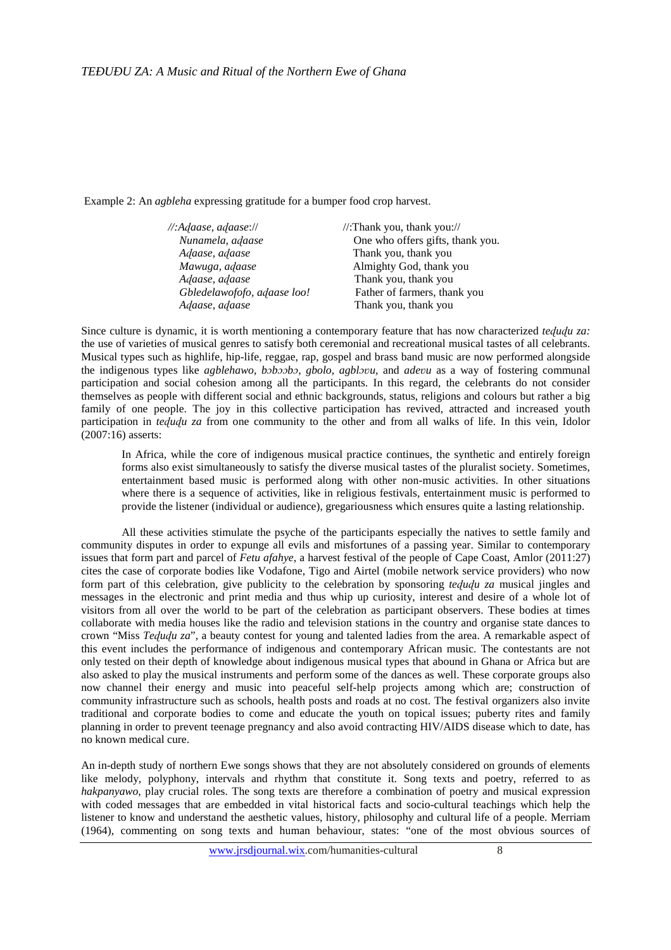Example 2: An *agbleha* expressing gratitude for a bumper food crop harvest.

| $\mathcal{N}:$ Adaase, adaase:// | //:Thank you, thank you://       |
|----------------------------------|----------------------------------|
| Nunamela, adaase                 | One who offers gifts, thank you. |
| Adaase, adaase                   | Thank you, thank you             |
| Mawuga, adaase                   | Almighty God, thank you          |
| Adaase, adaase                   | Thank you, thank you             |
| Gbledelawofofo, adaase loo!      | Father of farmers, thank you     |
| Adaase, adaase                   | Thank you, thank you             |

Since culture is dynamic, it is worth mentioning a contemporary feature that has now characterized *teɖuɖu za:* the use of varieties of musical genres to satisfy both ceremonial and recreational musical tastes of all celebrants. Musical types such as highlife, hip-life, reggae, rap, gospel and brass band music are now performed alongside the indigenous types like *agblehawo*, *bɔbɔɔbɔ, gbolo, agblɔʋu,* and *adeʋu* as a way of fostering communal participation and social cohesion among all the participants. In this regard, the celebrants do not consider themselves as people with different social and ethnic backgrounds, status, religions and colours but rather a big family of one people. The joy in this collective participation has revived, attracted and increased youth participation in *tedudu za* from one community to the other and from all walks of life. In this vein, Idolor (2007:16) asserts:

In Africa, while the core of indigenous musical practice continues, the synthetic and entirely foreign forms also exist simultaneously to satisfy the diverse musical tastes of the pluralist society. Sometimes, entertainment based music is performed along with other non-music activities. In other situations where there is a sequence of activities, like in religious festivals, entertainment music is performed to provide the listener (individual or audience), gregariousness which ensures quite a lasting relationship.

All these activities stimulate the psyche of the participants especially the natives to settle family and community disputes in order to expunge all evils and misfortunes of a passing year. Similar to contemporary issues that form part and parcel of *Fetu afahye*, a harvest festival of the people of Cape Coast, Amlor (2011:27) cites the case of corporate bodies like Vodafone, Tigo and Airtel (mobile network service providers) who now form part of this celebration, give publicity to the celebration by sponsoring *teɖuɖu za* musical jingles and messages in the electronic and print media and thus whip up curiosity, interest and desire of a whole lot of visitors from all over the world to be part of the celebration as participant observers. These bodies at times collaborate with media houses like the radio and television stations in the country and organise state dances to crown "Miss *Teɖuɖu za*", a beauty contest for young and talented ladies from the area. A remarkable aspect of this event includes the performance of indigenous and contemporary African music. The contestants are not only tested on their depth of knowledge about indigenous musical types that abound in Ghana or Africa but are also asked to play the musical instruments and perform some of the dances as well. These corporate groups also now channel their energy and music into peaceful self-help projects among which are; construction of community infrastructure such as schools, health posts and roads at no cost. The festival organizers also invite traditional and corporate bodies to come and educate the youth on topical issues; puberty rites and family planning in order to prevent teenage pregnancy and also avoid contracting HIV/AIDS disease which to date, has no known medical cure.

An in-depth study of northern Ewe songs shows that they are not absolutely considered on grounds of elements like melody, polyphony, intervals and rhythm that constitute it. Song texts and poetry, referred to as *hakpanyawo*, play crucial roles. The song texts are therefore a combination of poetry and musical expression with coded messages that are embedded in vital historical facts and socio-cultural teachings which help the listener to know and understand the aesthetic values, history, philosophy and cultural life of a people. Merriam (1964), commenting on song texts and human behaviour, states: "one of the most obvious sources of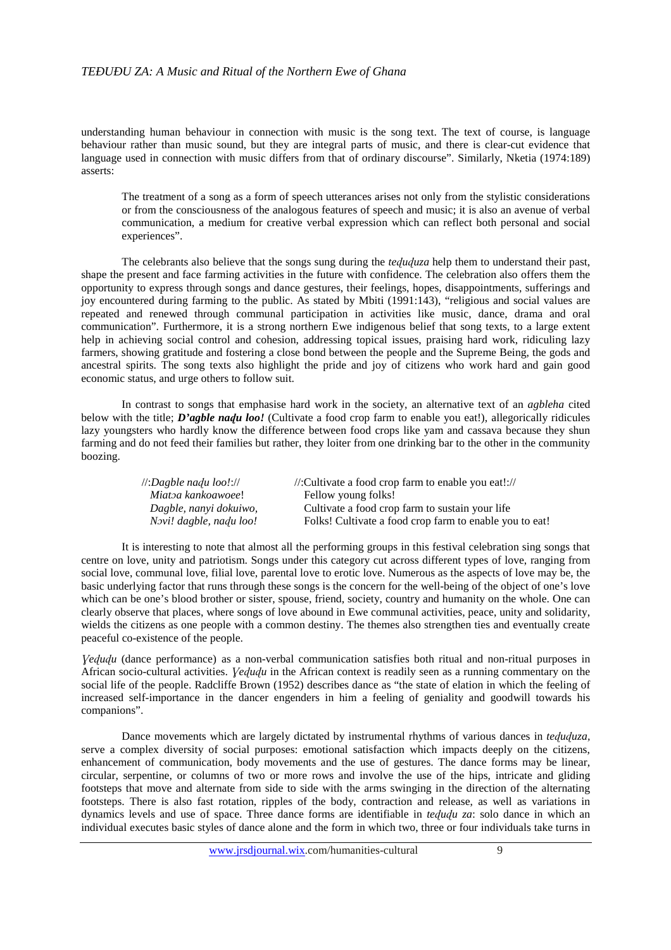understanding human behaviour in connection with music is the song text. The text of course, is language behaviour rather than music sound, but they are integral parts of music, and there is clear-cut evidence that language used in connection with music differs from that of ordinary discourse". Similarly, Nketia (1974:189) asserts:

The treatment of a song as a form of speech utterances arises not only from the stylistic considerations or from the consciousness of the analogous features of speech and music; it is also an avenue of verbal communication, a medium for creative verbal expression which can reflect both personal and social experiences".

The celebrants also believe that the songs sung during the *teɖuɖuza* help them to understand their past, shape the present and face farming activities in the future with confidence. The celebration also offers them the opportunity to express through songs and dance gestures, their feelings, hopes, disappointments, sufferings and joy encountered during farming to the public. As stated by Mbiti (1991:143), "religious and social values are repeated and renewed through communal participation in activities like music, dance, drama and oral communication". Furthermore, it is a strong northern Ewe indigenous belief that song texts, to a large extent help in achieving social control and cohesion, addressing topical issues, praising hard work, ridiculing lazy farmers, showing gratitude and fostering a close bond between the people and the Supreme Being, the gods and ancestral spirits. The song texts also highlight the pride and joy of citizens who work hard and gain good economic status, and urge others to follow suit.

In contrast to songs that emphasise hard work in the society, an alternative text of an *agbleha* cited below with the title; *D'agble naɖu loo!* (Cultivate a food crop farm to enable you eat!), allegorically ridicules lazy youngsters who hardly know the difference between food crops like yam and cassava because they shun farming and do not feed their families but rather, they loiter from one drinking bar to the other in the community boozing.

| $\mathcal{U}:$ Dagble nadu loo!:// | //:Cultivate a food crop farm to enable you eat!://     |
|------------------------------------|---------------------------------------------------------|
| Miatoa kankoawoee!                 | Fellow young folks!                                     |
| Dagble, nanyi dokuiwo,             | Cultivate a food crop farm to sustain your life         |
| Novi! dagble, nadu loo!            | Folks! Cultivate a food crop farm to enable you to eat! |

It is interesting to note that almost all the performing groups in this festival celebration sing songs that centre on love, unity and patriotism. Songs under this category cut across different types of love, ranging from social love, communal love, filial love, parental love to erotic love. Numerous as the aspects of love may be, the basic underlying factor that runs through these songs is the concern for the well-being of the object of one's love which can be one's blood brother or sister, spouse, friend, society, country and humanity on the whole. One can clearly observe that places, where songs of love abound in Ewe communal activities, peace, unity and solidarity, wields the citizens as one people with a common destiny. The themes also strengthen ties and eventually create peaceful co-existence of the people.

*Ɣeɖuɖu* (dance performance) as a non-verbal communication satisfies both ritual and non-ritual purposes in African socio-cultural activities. *Ɣeɖuɖu* in the African context is readily seen as a running commentary on the social life of the people. Radcliffe Brown (1952) describes dance as "the state of elation in which the feeling of increased self-importance in the dancer engenders in him a feeling of geniality and goodwill towards his companions".

Dance movements which are largely dictated by instrumental rhythms of various dances in *teɖuɖuza,* serve a complex diversity of social purposes: emotional satisfaction which impacts deeply on the citizens, enhancement of communication, body movements and the use of gestures. The dance forms may be linear, circular, serpentine, or columns of two or more rows and involve the use of the hips, intricate and gliding footsteps that move and alternate from side to side with the arms swinging in the direction of the alternating footsteps. There is also fast rotation, ripples of the body, contraction and release, as well as variations in dynamics levels and use of space. Three dance forms are identifiable in *teɖuɖu za*: solo dance in which an individual executes basic styles of dance alone and the form in which two, three or four individuals take turns in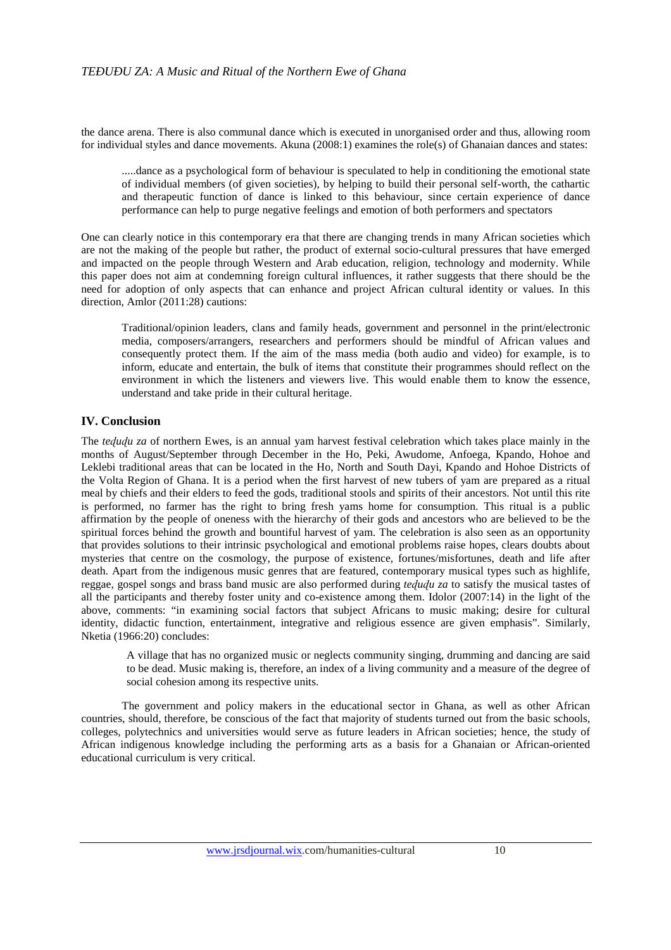the dance arena. There is also communal dance which is executed in unorganised order and thus, allowing room for individual styles and dance movements. Akuna (2008:1) examines the role(s) of Ghanaian dances and states:

.....dance as a psychological form of behaviour is speculated to help in conditioning the emotional state of individual members (of given societies), by helping to build their personal self-worth, the cathartic and therapeutic function of dance is linked to this behaviour, since certain experience of dance performance can help to purge negative feelings and emotion of both performers and spectators

One can clearly notice in this contemporary era that there are changing trends in many African societies which are not the making of the people but rather, the product of external socio-cultural pressures that have emerged and impacted on the people through Western and Arab education, religion, technology and modernity. While this paper does not aim at condemning foreign cultural influences, it rather suggests that there should be the need for adoption of only aspects that can enhance and project African cultural identity or values. In this direction, Amlor (2011:28) cautions:

Traditional/opinion leaders, clans and family heads, government and personnel in the print/electronic media, composers/arrangers, researchers and performers should be mindful of African values and consequently protect them. If the aim of the mass media (both audio and video) for example, is to inform, educate and entertain, the bulk of items that constitute their programmes should reflect on the environment in which the listeners and viewers live. This would enable them to know the essence, understand and take pride in their cultural heritage.

### **IV. Conclusion**

The *teququ za* of northern Ewes, is an annual yam harvest festival celebration which takes place mainly in the months of August/September through December in the Ho, Peki, Awudome, Anfoega, Kpando, Hohoe and Leklebi traditional areas that can be located in the Ho, North and South Dayi, Kpando and Hohoe Districts of the Volta Region of Ghana. It is a period when the first harvest of new tubers of yam are prepared as a ritual meal by chiefs and their elders to feed the gods, traditional stools and spirits of their ancestors. Not until this rite is performed, no farmer has the right to bring fresh yams home for consumption. This ritual is a public affirmation by the people of oneness with the hierarchy of their gods and ancestors who are believed to be the spiritual forces behind the growth and bountiful harvest of yam. The celebration is also seen as an opportunity that provides solutions to their intrinsic psychological and emotional problems raise hopes, clears doubts about mysteries that centre on the cosmology, the purpose of existence, fortunes/misfortunes, death and life after death. Apart from the indigenous music genres that are featured, contemporary musical types such as highlife, reggae, gospel songs and brass band music are also performed during *tedudu za* to satisfy the musical tastes of all the participants and thereby foster unity and co-existence among them. Idolor (2007:14) in the light of the above, comments: "in examining social factors that subject Africans to music making; desire for cultural identity, didactic function, entertainment, integrative and religious essence are given emphasis". Similarly, Nketia (1966:20) concludes:

A village that has no organized music or neglects community singing, drumming and dancing are said to be dead. Music making is, therefore, an index of a living community and a measure of the degree of social cohesion among its respective units.

The government and policy makers in the educational sector in Ghana, as well as other African countries, should, therefore, be conscious of the fact that majority of students turned out from the basic schools, colleges, polytechnics and universities would serve as future leaders in African societies; hence, the study of African indigenous knowledge including the performing arts as a basis for a Ghanaian or African-oriented educational curriculum is very critical.